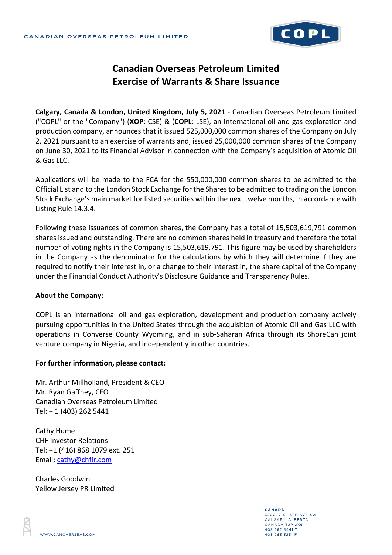

## **Canadian Overseas Petroleum Limited Exercise of Warrants & Share Issuance**

**Calgary, Canada & London, United Kingdom, July 5, 2021** - Canadian Overseas Petroleum Limited ("COPL" or the "Company") (**XOP**: CSE) & (**COPL**: LSE), an international oil and gas exploration and production company, announces that it issued 525,000,000 common shares of the Company on July 2, 2021 pursuant to an exercise of warrants and, issued 25,000,000 common shares of the Company on June 30, 2021 to its Financial Advisor in connection with the Company's acquisition of Atomic Oil & Gas LLC.

Applications will be made to the FCA for the 550,000,000 common shares to be admitted to the Official List and to the London Stock Exchange for the Shares to be admitted to trading on the London Stock Exchange's main market for listed securities within the next twelve months, in accordance with Listing Rule 14.3.4.

Following these issuances of common shares, the Company has a total of 15,503,619,791 common shares issued and outstanding. There are no common shares held in treasury and therefore the total number of voting rights in the Company is 15,503,619,791. This figure may be used by shareholders in the Company as the denominator for the calculations by which they will determine if they are required to notify their interest in, or a change to their interest in, the share capital of the Company under the Financial Conduct Authority's Disclosure Guidance and Transparency Rules.

## **About the Company:**

COPL is an international oil and gas exploration, development and production company actively pursuing opportunities in the United States through the acquisition of Atomic Oil and Gas LLC with operations in Converse County Wyoming, and in sub-Saharan Africa through its ShoreCan joint venture company in Nigeria, and independently in other countries.

## **For further information, please contact:**

Mr. Arthur Millholland, President & CEO Mr. Ryan Gaffney, CFO Canadian Overseas Petroleum Limited Tel: + 1 (403) 262 5441

Cathy Hume CHF Investor Relations Tel: +1 (416) 868 1079 ext. 251 Email: [cathy@chfir.com](mailto:cathy@chfir.com)

Charles Goodwin Yellow Jersey PR Limited